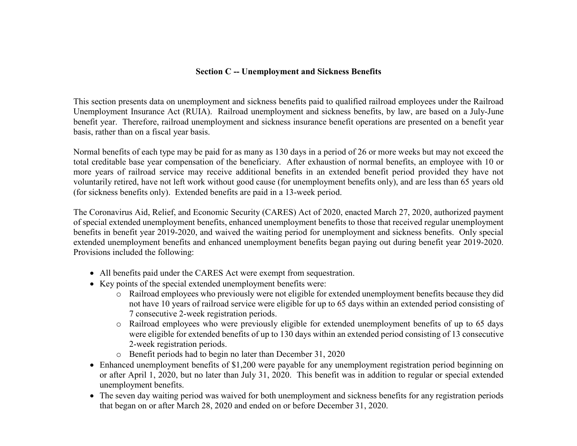## **Section C -- Unemployment and Sickness Benefits**

This section presents data on unemployment and sickness benefits paid to qualified railroad employees under the Railroad Unemployment Insurance Act (RUIA). Railroad unemployment and sickness benefits, by law, are based on a July-June benefit year. Therefore, railroad unemployment and sickness insurance benefit operations are presented on a benefit year basis, rather than on a fiscal year basis.

Normal benefits of each type may be paid for as many as 130 days in a period of 26 or more weeks but may not exceed the total creditable base year compensation of the beneficiary. After exhaustion of normal benefits, an employee with 10 or more years of railroad service may receive additional benefits in an extended benefit period provided they have not voluntarily retired, have not left work without good cause (for unemployment benefits only), and are less than 65 years old (for sickness benefits only). Extended benefits are paid in a 13-week period.

The Coronavirus Aid, Relief, and Economic Security (CARES) Act of 2020, enacted March 27, 2020, authorized payment of special extended unemployment benefits, enhanced unemployment benefits to those that received regular unemployment benefits in benefit year 2019-2020, and waived the waiting period for unemployment and sickness benefits. Only special extended unemployment benefits and enhanced unemployment benefits began paying out during benefit year 2019-2020. Provisions included the following:

- All benefits paid under the CARES Act were exempt from sequestration.
- Key points of the special extended unemployment benefits were:
	- o Railroad employees who previously were not eligible for extended unemployment benefits because they did not have 10 years of railroad service were eligible for up to 65 days within an extended period consisting of 7 consecutive 2-week registration periods.
	- o Railroad employees who were previously eligible for extended unemployment benefits of up to 65 days were eligible for extended benefits of up to 130 days within an extended period consisting of 13 consecutive 2-week registration periods.
	- o Benefit periods had to begin no later than December 31, 2020
- Enhanced unemployment benefits of \$1,200 were payable for any unemployment registration period beginning on or after April 1, 2020, but no later than July 31, 2020. This benefit was in addition to regular or special extended unemployment benefits.
- The seven day waiting period was waived for both unemployment and sickness benefits for any registration periods that began on or after March 28, 2020 and ended on or before December 31, 2020.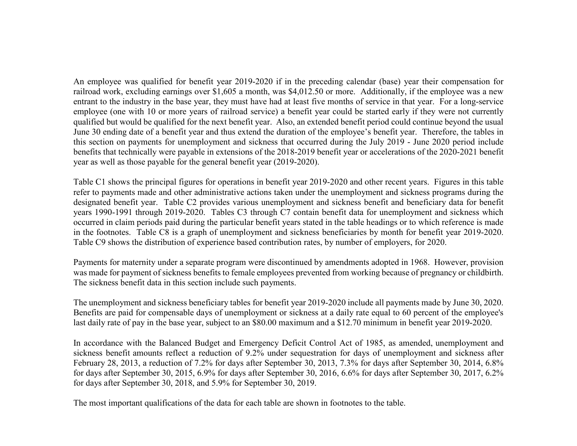An employee was qualified for benefit year 2019-2020 if in the preceding calendar (base) year their compensation for railroad work, excluding earnings over \$1,605 a month, was \$4,012.50 or more. Additionally, if the employee was a new entrant to the industry in the base year, they must have had at least five months of service in that year. For a long-service employee (one with 10 or more years of railroad service) a benefit year could be started early if they were not currently qualified but would be qualified for the next benefit year. Also, an extended benefit period could continue beyond the usual June 30 ending date of a benefit year and thus extend the duration of the employee's benefit year. Therefore, the tables in this section on payments for unemployment and sickness that occurred during the July 2019 - June 2020 period include benefits that technically were payable in extensions of the 2018-2019 benefit year or accelerations of the 2020-2021 benefit year as well as those payable for the general benefit year (2019-2020).

Table C1 shows the principal figures for operations in benefit year 2019-2020 and other recent years. Figures in this table refer to payments made and other administrative actions taken under the unemployment and sickness programs during the designated benefit year. Table C2 provides various unemployment and sickness benefit and beneficiary data for benefit years 1990-1991 through 2019-2020. Tables C3 through C7 contain benefit data for unemployment and sickness which occurred in claim periods paid during the particular benefit years stated in the table headings or to which reference is made in the footnotes. Table C8 is a graph of unemployment and sickness beneficiaries by month for benefit year 2019-2020. Table C9 shows the distribution of experience based contribution rates, by number of employers, for 2020.

Payments for maternity under a separate program were discontinued by amendments adopted in 1968. However, provision was made for payment of sickness benefits to female employees prevented from working because of pregnancy or childbirth. The sickness benefit data in this section include such payments.

The unemployment and sickness beneficiary tables for benefit year 2019-2020 include all payments made by June 30, 2020. Benefits are paid for compensable days of unemployment or sickness at a daily rate equal to 60 percent of the employee's last daily rate of pay in the base year, subject to an \$80.00 maximum and a \$12.70 minimum in benefit year 2019-2020.

In accordance with the Balanced Budget and Emergency Deficit Control Act of 1985, as amended, unemployment and sickness benefit amounts reflect a reduction of 9.2% under sequestration for days of unemployment and sickness after February 28, 2013, a reduction of 7.2% for days after September 30, 2013, 7.3% for days after September 30, 2014, 6.8% for days after September 30, 2015, 6.9% for days after September 30, 2016, 6.6% for days after September 30, 2017, 6.2% for days after September 30, 2018, and 5.9% for September 30, 2019.

The most important qualifications of the data for each table are shown in footnotes to the table.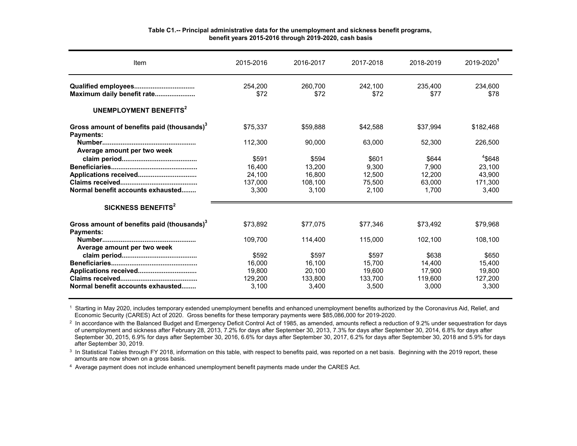| Item                                                                       | 2015-2016       | 2016-2017       | 2017-2018       | 2018-2019       | 2019-2020       |
|----------------------------------------------------------------------------|-----------------|-----------------|-----------------|-----------------|-----------------|
| Maximum daily benefit rate                                                 | 254.200<br>\$72 | 260.700<br>\$72 | 242.100<br>\$72 | 235,400<br>\$77 | 234.600<br>\$78 |
| UNEMPLOYMENT BENEFITS <sup>2</sup>                                         |                 |                 |                 |                 |                 |
| Gross amount of benefits paid (thousands) <sup>3</sup><br><b>Payments:</b> | \$75.337        | \$59,888        | \$42.588        | \$37.994        | \$182,468       |
| Average amount per two week                                                | 112.300         | 90.000          | 63.000          | 52.300          | 226,500         |
|                                                                            | \$591           | \$594           | \$601           | \$644           | $4$ \$648       |
|                                                                            | 16.400          | 13.200          | 9.300           | 7.900           | 23,100          |
|                                                                            | 24,100          | 16,800          | 12,500          | 12.200          | 43,900          |
|                                                                            | 137.000         | 108.100         | 75.500          | 63.000          | 171.300         |
| Normal benefit accounts exhausted                                          | 3,300           | 3,100           | 2,100           | 1,700           | 3,400           |
| SICKNESS BENEFITS <sup>2</sup>                                             |                 |                 |                 |                 |                 |
| Gross amount of benefits paid (thousands) <sup>3</sup><br><b>Payments:</b> | \$73,892        | \$77,075        | \$77.346        | \$73.492        | \$79.968        |
| Average amount per two week                                                | 109.700         | 114,400         | 115,000         | 102,100         | 108,100         |
|                                                                            | \$592           | \$597           | \$597           | \$638           | \$650           |
|                                                                            | 16.000          | 16.100          | 15.700          | 14.400          | 15.400          |
|                                                                            | 19.800          | 20,100          | 19,600          | 17,900          | 19,800          |
|                                                                            | 129.200         | 133.800         | 133.700         | 119.600         | 127.200         |
| Normal benefit accounts exhausted                                          | 3,100           | 3,400           | 3,500           | 3,000           | 3,300           |

#### **Table C1.-- Principal administrative data for the unemployment and sickness benefit programs, benefit years 2015-2016 through 2019-2020, cash basis**

1 Starting in May 2020, includes temporary extended unemployment benefits and enhanced unemployment benefits authorized by the Coronavirus Aid, Relief, and Economic Security (CARES) Act of 2020. Gross benefits for these temporary payments were \$85,086,000 for 2019-2020.

 $^2$  In accordance with the Balanced Budget and Emergency Deficit Control Act of 1985, as amended, amounts reflect a reduction of 9.2% under sequestration for days of unemployment and sickness after February 28, 2013, 7.2% for days after September 30, 2013, 7.3% for days after September 30, 2014, 6.8% for days after September 30, 2015, 6.9% for days after September 30, 2016, 6.6% for days after September 30, 2017, 6.2% for days after September 30, 2018 and 5.9% for days after September 30, 2019.

 $^{\rm 3}$  In Statistical Tables through FY 2018, information on this table, with respect to benefits paid, was reported on a net basis. Beginning with the 2019 report, these amounts are now shown on a gross basis.

 $^{\rm 4}$  Average payment does not include enhanced unemployment benefit payments made under the CARES Act.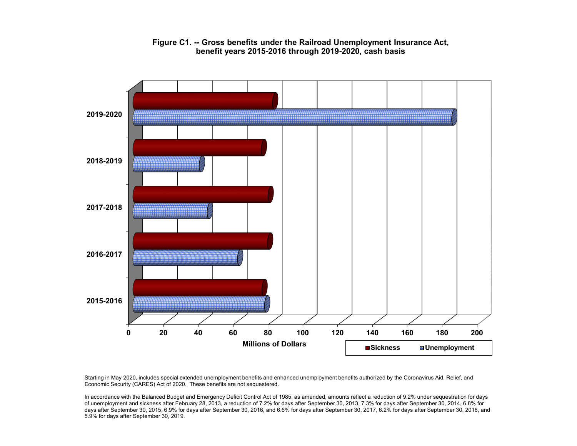

#### **Figure C1. -- Gross benefits under the Railroad Unemployment Insurance Act, benefit years 2015-2016 through 2019-2020, cash basis**

Starting in May 2020, includes special extended unemployment benefits and enhanced unemployment benefits authorized by the Coronavirus Aid, Relief, and Economic Security (CARES) Act of 2020. These benefits are not sequestered.

In accordance with the Balanced Budget and Emergency Deficit Control Act of 1985, as amended, amounts reflect a reduction of 9.2% under sequestration for days of unemployment and sickness after February 28, 2013, a reduction of 7.2% for days after September 30, 2013, 7.3% for days after September 30, 2014, 6.8% for days after September 30, 2015, 6.9% for days after September 30, 2016, and 6.6% for days after September 30, 2017, 6.2% for days after September 30, 2018, and 5.9% for days after September 30, 2019.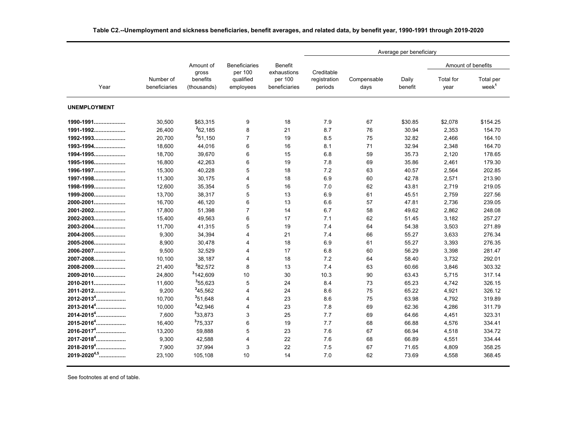|                            |                            |                         |                                 |                               | Average per beneficiary |                     |                  |                   |                                |
|----------------------------|----------------------------|-------------------------|---------------------------------|-------------------------------|-------------------------|---------------------|------------------|-------------------|--------------------------------|
|                            |                            | Amount of<br>gross      | <b>Beneficiaries</b><br>per 100 | <b>Benefit</b><br>exhaustions | Creditable              |                     |                  |                   | Amount of benefits             |
| Year                       | Number of<br>beneficiaries | benefits<br>(thousands) | qualified<br>employees          | per 100<br>beneficiaries      | registration<br>periods | Compensable<br>days | Daily<br>benefit | Total for<br>year | Total per<br>week <sup>1</sup> |
| <b>UNEMPLOYMENT</b>        |                            |                         |                                 |                               |                         |                     |                  |                   |                                |
| 1990-1991                  | 30,500                     | \$63,315                | 9                               | 18                            | 7.9                     | 67                  | \$30.85          | \$2,078           | \$154.25                       |
| 1991-1992                  | 26,400                     | ${}^{2}62,185$          | 8                               | 21                            | 8.7                     | 76                  | 30.94            | 2,353             | 154.70                         |
| 1992-1993                  | 20,700                     | 251,150                 | $\overline{7}$                  | 19                            | 8.5                     | 75                  | 32.82            | 2,466             | 164.10                         |
| 1993-1994                  | 18,600                     | 44,016                  | 6                               | 16                            | 8.1                     | 71                  | 32.94            | 2,348             | 164.70                         |
| 1994-1995                  | 18.700                     | 39,670                  | 6                               | 15                            | 6.8                     | 59                  | 35.73            | 2,120             | 178.65                         |
| 1995-1996                  | 16.800                     | 42,263                  | 6                               | 19                            | 7.8                     | 69                  | 35.86            | 2.461             | 179.30                         |
| 1996-1997                  | 15,300                     | 40,228                  | 5                               | 18                            | 7.2                     | 63                  | 40.57            | 2,564             | 202.85                         |
| 1997-1998                  | 11,300                     | 30,175                  | $\overline{4}$                  | 18                            | 6.9                     | 60                  | 42.78            | 2,571             | 213.90                         |
| 1998-1999                  | 12,600                     | 35,354                  | 5                               | 16                            | 7.0                     | 62                  | 43.81            | 2,719             | 219.05                         |
| 1999-2000                  | 13,700                     | 38,317                  | 5                               | 13                            | 6.9                     | 61                  | 45.51            | 2,759             | 227.56                         |
| 2000-2001                  | 16,700                     | 46,120                  | 6                               | 13                            | 6.6                     | 57                  | 47.81            | 2,736             | 239.05                         |
| 2001-2002                  | 17,800                     | 51,398                  | $\overline{7}$                  | 14                            | 6.7                     | 58                  | 49.62            | 2,862             | 248.08                         |
| 2002-2003                  | 15,400                     | 49,563                  | 6                               | 17                            | 7.1                     | 62                  | 51.45            | 3,182             | 257.27                         |
| 2003-2004                  | 11,700                     | 41,315                  | 5                               | 19                            | 7.4                     | 64                  | 54.38            | 3,503             | 271.89                         |
| 2004-2005                  | 9,300                      | 34,394                  | 4                               | 21                            | 7.4                     | 66                  | 55.27            | 3.633             | 276.34                         |
| 2005-2006                  | 8,900                      | 30,478                  | $\overline{4}$                  | 18                            | 6.9                     | 61                  | 55.27            | 3,393             | 276.35                         |
| 2006-2007                  | 9,500                      | 32,529                  | 4                               | 17                            | 6.8                     | 60                  | 56.29            | 3,398             | 281.47                         |
| 2007-2008                  | 10,100                     | 38,187                  | 4                               | 18                            | 7.2                     | 64                  | 58.40            | 3,732             | 292.01                         |
| 2008-2009                  | 21,400                     | <sup>3</sup> 82,572     | 8                               | 13                            | 7.4                     | 63                  | 60.66            | 3,846             | 303.32                         |
| 2009-2010                  | 24,800                     | <sup>3</sup> 142.609    | 10                              | 30                            | 10.3                    | 90                  | 63.43            | 5,715             | 317.14                         |
| 2010-2011                  | 11,600                     | <sup>3</sup> 55,623     | 5                               | 24                            | 8.4                     | 73                  | 65.23            | 4,742             | 326.15                         |
| 2011-2012                  | 9,200                      | <sup>3</sup> 45,562     | $\overline{4}$                  | 24                            | 8.6                     | 75                  | 65.22            | 4,921             | 326.12                         |
| 2012-2013 <sup>4</sup>     | 10,700                     | 351,648                 | $\overline{4}$                  | 23                            | 8.6                     | 75                  | 63.98            | 4,792             | 319.89                         |
| 2013-2014 <sup>4</sup>     | 10.000                     | <sup>3</sup> 42.946     | $\overline{4}$                  | 23                            | 7.8                     | 69                  | 62.36            | 4,286             | 311.79                         |
| $2014 - 2015$ <sup>4</sup> | 7,600                      | 33,873                  | 3                               | 25                            | 7.7                     | 69                  | 64.66            | 4,451             | 323.31                         |
| 2015-2016 <sup>4</sup>     | 16,400                     | 375,337                 | 6                               | 19                            | 7.7                     | 68                  | 66.88            | 4,576             | 334.41                         |
| 2016-2017 <sup>4</sup>     | 13,200                     | 59,888                  | 5                               | 23                            | 7.6                     | 67                  | 66.94            | 4,518             | 334.72                         |
| 2017-2018 <sup>4</sup>     | 9,300                      | 42,588                  | $\overline{4}$                  | 22                            | 7.6                     | 68                  | 66.89            | 4,551             | 334.44                         |
| 2018-2019 <sup>4</sup>     | 7,900                      | 37,994                  | 3                               | 22                            | 7.5                     | 67                  | 71.65            | 4,809             | 358.25                         |
| 2019-2020 <sup>4,5</sup>   | 23,100                     | 105,108                 | 10                              | 14                            | 7.0                     | 62                  | 73.69            | 4,558             | 368.45                         |

**Table C2.--Unemployment and sickness beneficiaries, benefit averages, and related data, by benefit year, 1990-1991 through 2019-2020**

See footnotes at end of table.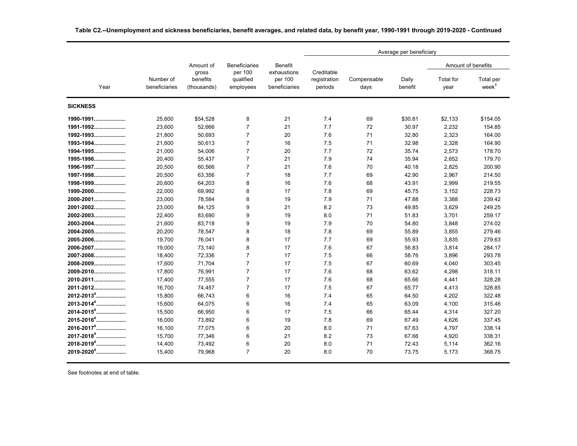|                        |                            |                                  |                                   |                                         | Average per beneficiary               |                     |                  |                          |                                |
|------------------------|----------------------------|----------------------------------|-----------------------------------|-----------------------------------------|---------------------------------------|---------------------|------------------|--------------------------|--------------------------------|
|                        |                            | Amount of                        | <b>Beneficiaries</b>              | <b>Benefit</b>                          |                                       |                     |                  |                          | Amount of benefits             |
| Year                   | Number of<br>beneficiaries | gross<br>benefits<br>(thousands) | per 100<br>qualified<br>employees | exhaustions<br>per 100<br>beneficiaries | Creditable<br>registration<br>periods | Compensable<br>days | Daily<br>benefit | <b>Total</b> for<br>year | Total per<br>week <sup>1</sup> |
| <b>SICKNESS</b>        |                            |                                  |                                   |                                         |                                       |                     |                  |                          |                                |
| 1990-1991              | 25,600                     | \$54,528                         | 8                                 | 21                                      | 7.4                                   | 69                  | \$30.81          | \$2,133                  | \$154.05                       |
| 1991-1992              | 23,600                     | 52,666                           | $\overline{7}$                    | 21                                      | 7.7                                   | 72                  | 30.97            | 2,232                    | 154.85                         |
| 1992-1993              | 21,800                     | 50,693                           | $\overline{7}$                    | 20                                      | 7.6                                   | 71                  | 32.80            | 2,323                    | 164.00                         |
| 1993-1994              | 21,600                     | 50,613                           | $\overline{7}$                    | 16                                      | 7.5                                   | 71                  | 32.98            | 2,328                    | 164.90                         |
| 1994-1995              | 21,000                     | 54,006                           | $\overline{7}$                    | 20                                      | 7.7                                   | 72                  | 35.74            | 2,573                    | 178.70                         |
| 1995-1996              | 20,400                     | 55,437                           | $\overline{7}$                    | 21                                      | 7.9                                   | 74                  | 35.94            | 2,652                    | 179.70                         |
| 1996-1997              | 20,500                     | 60,566                           | $\overline{7}$                    | 21                                      | 7.6                                   | 70                  | 40.18            | 2,825                    | 200.90                         |
| 1997-1998              | 20,500                     | 63,356                           | $\overline{7}$                    | 18                                      | 7.7                                   | 69                  | 42.90            | 2,967                    | 214.50                         |
| 1998-1999              | 20,600                     | 64,203                           | 8                                 | 16                                      | 7.6                                   | 68                  | 43.91            | 2,999                    | 219.55                         |
| 1999-2000              | 22,000                     | 69,992                           | 8                                 | 17                                      | 7.8                                   | 69                  | 45.75            | 3,152                    | 228.73                         |
| 2000-2001              | 23,000                     | 78,584                           | 8                                 | 19                                      | 7.9                                   | 71                  | 47.88            | 3,388                    | 239.42                         |
| 2001-2002              | 23,000                     | 84,125                           | 9                                 | 21                                      | 8.2                                   | 73                  | 49.85            | 3,629                    | 249.25                         |
| 2002-2003              | 22,400                     | 83,690                           | 9                                 | 19                                      | 8.0                                   | 71                  | 51.83            | 3,701                    | 259.17                         |
| 2003-2004              | 21,600                     | 83,718                           | 9                                 | 19                                      | 7.9                                   | 70                  | 54.80            | 3,848                    | 274.02                         |
| 2004-2005              | 20,200                     | 78,547                           | 8                                 | 18                                      | 7.8                                   | 69                  | 55.89            | 3,855                    | 279.46                         |
| 2005-2006              | 19,700                     | 76,041                           | 8                                 | 17                                      | 7.7                                   | 69                  | 55.93            | 3,835                    | 279.63                         |
| 2006-2007              | 19,000                     | 73,140                           | 8                                 | 17                                      | 7.6                                   | 67                  | 56.83            | 3,814                    | 284.17                         |
| 2007-2008              | 18,400                     | 72,336                           | $\overline{7}$                    | 17                                      | 7.5                                   | 66                  | 58.76            | 3,896                    | 293.78                         |
| 2008-2009              | 17,600                     | 71,704                           | $\overline{7}$                    | 17                                      | 7.5                                   | 67                  | 60.69            | 4,040                    | 303.45                         |
| 2009-2010              | 17,800                     | 76,991                           | $\overline{7}$                    | 17                                      | 7.6                                   | 68                  | 63.62            | 4,298                    | 318.11                         |
| 2010-2011              | 17,400                     | 77,555                           | $\overline{7}$                    | 17                                      | 7.6                                   | 68                  | 65.66            | 4,441                    | 328.28                         |
| 2011-2012              | 16,700                     | 74,457                           | $\overline{7}$                    | 17                                      | 7.5                                   | 67                  | 65.77            | 4,413                    | 328.85                         |
| 2012-2013 <sup>4</sup> | 15.800                     | 66,743                           | 6                                 | 16                                      | 7.4                                   | 65                  | 64.50            | 4,202                    | 322.48                         |
| 2013-2014 <sup>4</sup> | 15.600                     | 64,075                           | 6                                 | 16                                      | 7.4                                   | 65                  | 63.09            | 4,100                    | 315.46                         |
| 2014-2015 <sup>4</sup> | 15,500                     | 66,950                           | 6                                 | 17                                      | 7.5                                   | 66                  | 65.44            | 4,314                    | 327.20                         |
| 2015-2016 <sup>4</sup> | 16,000                     | 73,892                           | 6                                 | 19                                      | 7.8                                   | 69                  | 67.49            | 4,626                    | 337.45                         |
| 2016-2017 <sup>4</sup> | 16,100                     | 77,075                           | 6                                 | 20                                      | 8.0                                   | 71                  | 67.63            | 4,797                    | 338.14                         |
| 2017-2018 <sup>4</sup> | 15,700                     | 77,346                           | 6                                 | 21                                      | 8.2                                   | 73                  | 67.66            | 4,920                    | 338.31                         |
| 2018-2019 <sup>4</sup> | 14,400                     | 73,492                           | 6                                 | 20                                      | 8.0                                   | 71                  | 72.43            | 5,114                    | 362.16                         |
| 2019-2020 <sup>4</sup> | 15,400                     | 79.968                           | $\overline{7}$                    | 20                                      | 8.0                                   | 70                  | 73.75            | 5,173                    | 368.75                         |

**Table C2.--Unemployment and sickness beneficiaries, benefit averages, and related data, by benefit year, 1990-1991 through 2019-2020 - Continued**

See footnotes at end of table.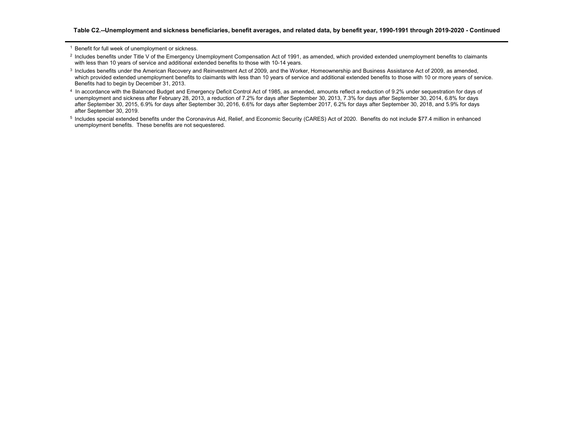1 Benefit for full week of unemployment or sickness.

- <sup>2</sup> Includes benefits under Title V of the Emergency Unemployment Compensation Act of 1991, as amended, which provided extended unemployment benefits to claimants with less than 10 years of service and additional extended benefits to those with 10-14 years.
- <sup>3</sup> Includes benefits under the American Recovery and Reinvestment Act of 2009, and the Worker, Homeownership and Business Assistance Act of 2009, as amended, which provided extended unemployment benefits to claimants with less than 10 years of service and additional extended benefits to those with 10 or more years of service. Benefits had to begin by December 31, 2013.
- <sup>4</sup> In accordance with the Balanced Budget and Emergency Deficit Control Act of 1985, as amended, amounts reflect a reduction of 9.2% under sequestration for days of unemployment and sickness after February 28, 2013, a reduction of 7.2% for days after September 30, 2013, 7.3% for days after September 30, 2014, 6.8% for days after September 30, 2015, 6.9% for days after September 30, 2016, 6.6% for days after September 2017, 6.2% for days after September 30, 2018, and 5.9% for days after September 30, 2019.
- 5 Includes special extended benefits under the Coronavirus Aid, Relief, and Economic Security (CARES) Act of 2020. Benefits do not include \$77.4 million in enhanced unemployment benefits. These benefits are not sequestered.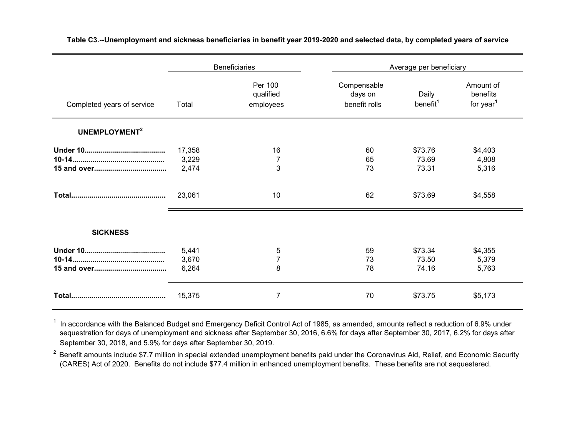|                            | <b>Beneficiaries</b>     |                                   | Average per beneficiary                 |                               |                                                |
|----------------------------|--------------------------|-----------------------------------|-----------------------------------------|-------------------------------|------------------------------------------------|
| Completed years of service | Total                    | Per 100<br>qualified<br>employees | Compensable<br>days on<br>benefit rolls | Daily<br>benefit <sup>1</sup> | Amount of<br>benefits<br>for year <sup>1</sup> |
| UNEMPLOYMENT <sup>2</sup>  |                          |                                   |                                         |                               |                                                |
|                            | 17,358<br>3,229<br>2,474 | 16<br>$\overline{7}$<br>3         | 60<br>65<br>73                          | \$73.76<br>73.69<br>73.31     | \$4,403<br>4,808<br>5,316                      |
|                            | 23,061                   | 10                                | 62                                      | \$73.69                       | \$4,558                                        |
| <b>SICKNESS</b>            |                          |                                   |                                         |                               |                                                |
|                            | 5,441<br>3,670<br>6,264  | 5<br>$\overline{7}$<br>8          | 59<br>73<br>78                          | \$73.34<br>73.50<br>74.16     | \$4,355<br>5,379<br>5,763                      |
|                            | 15,375                   | 7                                 | 70                                      | \$73.75                       | \$5,173                                        |

**Table C3.--Unemployment and sickness beneficiaries in benefit year 2019-2020 and selected data, by completed years of service**

 $^\text{1}$  In accordance with the Balanced Budget and Emergency Deficit Control Act of 1985, as amended, amounts reflect a reduction of 6.9% under sequestration for days of unemployment and sickness after September 30, 2016, 6.6% for days after September 30, 2017, 6.2% for days after September 30, 2018, and 5.9% for days after September 30, 2019.

 $2$  Benefit amounts include \$7.7 million in special extended unemployment benefits paid under the Coronavirus Aid, Relief, and Economic Security (CARES) Act of 2020. Benefits do not include \$77.4 million in enhanced unemployment benefits. These benefits are not sequestered.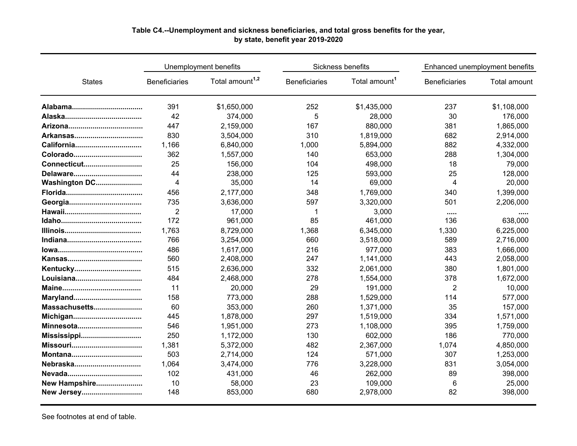### **Table C4.--Unemployment and sickness beneficiaries, and total gross benefits for the year, by state, benefit year 2019-2020**

|                 |                      | Unemployment benefits       |                      | Sickness benefits         | Enhanced unemployment benefits |              |  |
|-----------------|----------------------|-----------------------------|----------------------|---------------------------|--------------------------------|--------------|--|
| <b>States</b>   | <b>Beneficiaries</b> | Total amount <sup>1,2</sup> | <b>Beneficiaries</b> | Total amount <sup>1</sup> | <b>Beneficiaries</b>           | Total amount |  |
|                 | 391                  | \$1,650,000                 | 252                  | \$1,435,000               | 237                            | \$1,108,000  |  |
|                 | 42                   | 374,000                     | 5                    | 28,000                    | 30                             | 176,000      |  |
|                 | 447                  | 2,159,000                   | 167                  | 880,000                   | 381                            | 1,865,000    |  |
|                 | 830                  | 3,504,000                   | 310                  | 1,819,000                 | 682                            | 2,914,000    |  |
| California      | 1,166                | 6,840,000                   | 1,000                | 5,894,000                 | 882                            | 4,332,000    |  |
|                 | 362                  | 1,557,000                   | 140                  | 653,000                   | 288                            | 1,304,000    |  |
| Connecticut     | 25                   | 156,000                     | 104                  | 498,000                   | 18                             | 79,000       |  |
| Delaware        | 44                   | 238,000                     | 125                  | 593,000                   | 25                             | 128,000      |  |
| Washington DC   | $\overline{4}$       | 35,000                      | 14                   | 69,000                    | 4                              | 20,000       |  |
|                 | 456                  | 2,177,000                   | 348                  | 1,769,000                 | 340                            | 1,399,000    |  |
|                 | 735                  | 3,636,000                   | 597                  | 3,320,000                 | 501                            | 2,206,000    |  |
|                 | $\overline{2}$       | 17,000                      | 1                    | 3,000                     |                                |              |  |
|                 | 172                  | 961,000                     | 85                   | 461,000                   | 136                            | 638,000      |  |
|                 | 1,763                | 8,729,000                   | 1,368                | 6,345,000                 | 1,330                          | 6,225,000    |  |
|                 | 766                  | 3,254,000                   | 660                  | 3,518,000                 | 589                            | 2,716,000    |  |
|                 | 486                  | 1,617,000                   | 216                  | 977,000                   | 383                            | 1,666,000    |  |
|                 | 560                  | 2,408,000                   | 247                  | 1,141,000                 | 443                            | 2,058,000    |  |
| Kentucky        | 515                  | 2,636,000                   | 332                  | 2,061,000                 | 380                            | 1,801,000    |  |
|                 | 484                  | 2,468,000                   | 278                  | 1,554,000                 | 378                            | 1,672,000    |  |
|                 | 11                   | 20,000                      | 29                   | 191,000                   | $\overline{c}$                 | 10,000       |  |
| Maryland        | 158                  | 773,000                     | 288                  | 1,529,000                 | 114                            | 577,000      |  |
| Massachusetts   | 60                   | 353,000                     | 260                  | 1,371,000                 | 35                             | 157,000      |  |
| Michigan        | 445                  | 1,878,000                   | 297                  | 1,519,000                 | 334                            | 1,571,000    |  |
| Minnesota       | 546                  | 1,951,000                   | 273                  | 1,108,000                 | 395                            | 1,759,000    |  |
|                 | 250                  | 1,172,000                   | 130                  | 602,000                   | 186                            | 770,000      |  |
| <b>Missouri</b> | 1,381                | 5,372,000                   | 482                  | 2,367,000                 | 1,074                          | 4,850,000    |  |
|                 | 503                  | 2,714,000                   | 124                  | 571,000                   | 307                            | 1,253,000    |  |
| Nebraska        | 1,064                | 3,474,000                   | 776                  | 3,228,000                 | 831                            | 3,054,000    |  |
|                 | 102                  | 431,000                     | 46                   | 262,000                   | 89                             | 398,000      |  |
| New Hampshire   | 10                   | 58,000                      | 23                   | 109,000                   | 6                              | 25,000       |  |
| New Jersey      | 148                  | 853,000                     | 680                  | 2,978,000                 | 82                             | 398,000      |  |

See footnotes at end of table.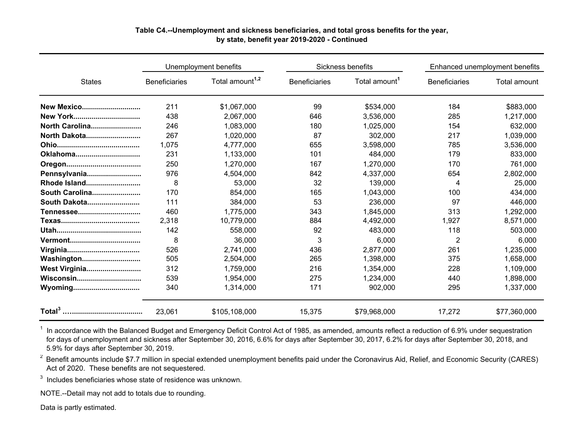#### **Table C4.--Unemployment and sickness beneficiaries, and total gross benefits for the year, by state, benefit year 2019-2020 - Continued**

|                   |                      | Unemployment benefits       |                      | Sickness benefits         | Enhanced unemployment benefits |              |
|-------------------|----------------------|-----------------------------|----------------------|---------------------------|--------------------------------|--------------|
| <b>States</b>     | <b>Beneficiaries</b> | Total amount <sup>1,2</sup> | <b>Beneficiaries</b> | Total amount <sup>1</sup> | <b>Beneficiaries</b>           | Total amount |
| <b>New Mexico</b> | 211                  | \$1,067,000                 | 99                   | \$534,000                 | 184                            | \$883,000    |
| <b>New York</b>   | 438                  | 2.067.000                   | 646                  | 3,536,000                 | 285                            | 1,217,000    |
| North Carolina    | 246                  | 1,083,000                   | 180                  | 1,025,000                 | 154                            | 632,000      |
| North Dakota      | 267                  | 1,020,000                   | 87                   | 302,000                   | 217                            | 1,039,000    |
|                   | 1,075                | 4,777,000                   | 655                  | 3,598,000                 | 785                            | 3,536,000    |
| Oklahoma          | 231                  | 1,133,000                   | 101                  | 484,000                   | 179                            | 833,000      |
|                   | 250                  | 1,270,000                   | 167                  | 1,270,000                 | 170                            | 761,000      |
| Pennsylvania      | 976                  | 4,504,000                   | 842                  | 4,337,000                 | 654                            | 2,802,000    |
| Rhode Island      | 8                    | 53,000                      | 32                   | 139,000                   | 4                              | 25,000       |
| South Carolina    | 170                  | 854,000                     | 165                  | 1,043,000                 | 100                            | 434,000      |
| South Dakota      | 111                  | 384,000                     | 53                   | 236,000                   | 97                             | 446,000      |
|                   | 460                  | 1,775,000                   | 343                  | 1,845,000                 | 313                            | 1,292,000    |
|                   | 2,318                | 10,779,000                  | 884                  | 4,492,000                 | 1,927                          | 8,571,000    |
|                   | 142                  | 558,000                     | 92                   | 483,000                   | 118                            | 503,000      |
| <u>Vermont</u>    | 8                    | 36,000                      | 3                    | 6,000                     | $\overline{2}$                 | 6,000        |
|                   | 526                  | 2,741,000                   | 436                  | 2,877,000                 | 261                            | 1,235,000    |
| Washington        | 505                  | 2,504,000                   | 265                  | 1,398,000                 | 375                            | 1,658,000    |
| West Virginia     | 312                  | 1,759,000                   | 216                  | 1,354,000                 | 228                            | 1,109,000    |
| Wisconsin         | 539                  | 1,954,000                   | 275                  | 1,234,000                 | 440                            | 1,898,000    |
| Wyoming           | 340                  | 1,314,000                   | 171                  | 902,000                   | 295                            | 1,337,000    |
|                   | 23,061               | \$105,108,000               | 15,375               | \$79,968,000              | 17,272                         | \$77.360,000 |

 $1$  In accordance with the Balanced Budget and Emergency Deficit Control Act of 1985, as amended, amounts reflect a reduction of 6.9% under sequestration for days of unemployment and sickness after September 30, 2016, 6.6% for days after September 30, 2017, 6.2% for days after September 30, 2018, and 5.9% for days after September 30, 2019.

 $2$  Benefit amounts include \$7.7 million in special extended unemployment benefits paid under the Coronavirus Aid, Relief, and Economic Security (CARES) Act of 2020. These benefits are not sequestered.

 $^3\,$  Includes beneficiaries whose state of residence was unknown.

NOTE.--Detail may not add to totals due to rounding.

Data is partly estimated.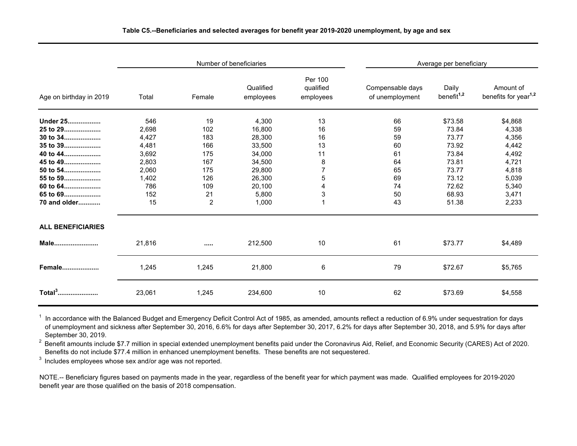|                          |        |                | Number of beneficiaries | Average per beneficiary           |                                     |                                 |                                               |
|--------------------------|--------|----------------|-------------------------|-----------------------------------|-------------------------------------|---------------------------------|-----------------------------------------------|
| Age on birthday in 2019  | Total  | Female         | Qualified<br>employees  | Per 100<br>qualified<br>employees | Compensable days<br>of unemployment | Daily<br>benefit <sup>1,2</sup> | Amount of<br>benefits for year <sup>1,2</sup> |
| Under 25                 | 546    | 19             | 4,300                   | 13                                | 66                                  | \$73.58                         | \$4,868                                       |
| 25 to 29                 | 2,698  | 102            | 16,800                  | 16                                | 59                                  | 73.84                           | 4,338                                         |
| 30 to 34                 | 4,427  | 183            | 28,300                  | 16                                | 59                                  | 73.77                           | 4,356                                         |
| 35 to 39                 | 4,481  | 166            | 33,500                  | 13                                | 60                                  | 73.92                           | 4,442                                         |
| 40 to 44                 | 3,692  | 175            | 34,000                  | 11                                | 61                                  | 73.84                           | 4,492                                         |
| 45 to 49                 | 2,803  | 167            | 34,500                  | 8                                 | 64                                  | 73.81                           | 4,721                                         |
| 50 to 54                 | 2,060  | 175            | 29,800                  | 7                                 | 65                                  | 73.77                           | 4,818                                         |
| 55 to 59                 | 1,402  | 126            | 26,300                  | 5                                 | 69                                  | 73.12                           | 5,039                                         |
| 60 to 64                 | 786    | 109            | 20,100                  | 4                                 | 74                                  | 72.62                           | 5,340                                         |
| 65 to 69                 | 152    | 21             | 5,800                   | 3                                 | 50                                  | 68.93                           | 3,471                                         |
| 70 and older             | 15     | $\overline{2}$ | 1,000                   | 1                                 | 43                                  | 51.38                           | 2,233                                         |
| <b>ALL BENEFICIARIES</b> |        |                |                         |                                   |                                     |                                 |                                               |
| Male                     | 21,816 |                | 212,500                 | 10                                | 61                                  | \$73.77                         | \$4,489                                       |
| Female                   | 1,245  | 1,245          | 21,800                  | 6                                 | 79                                  | \$72.67                         | \$5,765                                       |
| Total <sup>3</sup>       | 23,061 | 1,245          | 234,600                 | 10                                | 62                                  | \$73.69                         | \$4,558                                       |

 $^\text{1}$  In accordance with the Balanced Budget and Emergency Deficit Control Act of 1985, as amended, amounts reflect a reduction of 6.9% under sequestration for days of unemployment and sickness after September 30, 2016, 6.6% for days after September 30, 2017, 6.2% for days after September 30, 2018, and 5.9% for days after September 30, 2019.

<sup>2</sup> Benefit amounts include \$7.7 million in special extended unemployment benefits paid under the Coronavirus Aid, Relief, and Economic Security (CARES) Act of 2020. Benefits do not include \$77.4 million in enhanced unemployment benefits. These benefits are not sequestered.

3 Includes employees whose sex and/or age was not reported.

NOTE.-- Beneficiary figures based on payments made in the year, regardless of the benefit year for which payment was made. Qualified employees for 2019-2020 benefit year are those qualified on the basis of 2018 compensation.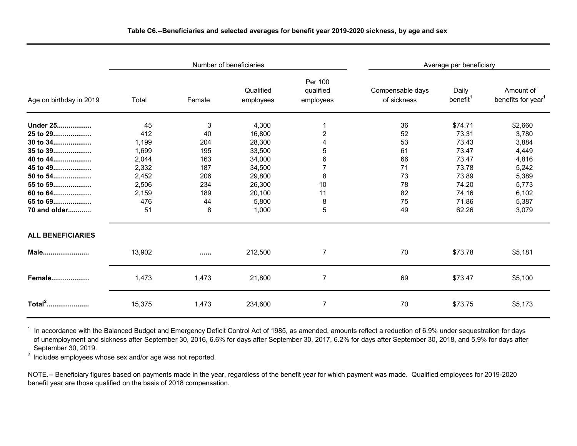|                          |        |        | Number of beneficiaries |                                   | Average per beneficiary         |                               |                                             |  |
|--------------------------|--------|--------|-------------------------|-----------------------------------|---------------------------------|-------------------------------|---------------------------------------------|--|
| Age on birthday in 2019  | Total  | Female | Qualified<br>employees  | Per 100<br>qualified<br>employees | Compensable days<br>of sickness | Daily<br>benefit <sup>1</sup> | Amount of<br>benefits for year <sup>1</sup> |  |
| Under 25                 | 45     | 3      | 4,300                   |                                   | 36                              | \$74.71                       | \$2,660                                     |  |
| 25 to 29                 | 412    | 40     | 16,800                  | 2                                 | 52                              | 73.31                         | 3,780                                       |  |
| 30 to 34                 | 1,199  | 204    | 28,300                  | 4                                 | 53                              | 73.43                         | 3,884                                       |  |
| 35 to 39                 | 1,699  | 195    | 33,500                  | 5                                 | 61                              | 73.47                         | 4,449                                       |  |
| 40 to 44                 | 2,044  | 163    | 34,000                  | 6                                 | 66                              | 73.47                         | 4,816                                       |  |
| 45 to 49                 | 2,332  | 187    | 34,500                  | 7                                 | 71                              | 73.78                         | 5,242                                       |  |
| 50 to 54                 | 2,452  | 206    | 29,800                  | 8                                 | 73                              | 73.89                         | 5,389                                       |  |
| 55 to 59                 | 2,506  | 234    | 26,300                  | 10                                | 78                              | 74.20                         | 5,773                                       |  |
| 60 to 64                 | 2,159  | 189    | 20,100                  | 11                                | 82                              | 74.16                         | 6,102                                       |  |
| 65 to 69                 | 476    | 44     | 5,800                   | 8                                 | 75                              | 71.86                         | 5,387                                       |  |
| 70 and older             | 51     | 8      | 1,000                   | 5                                 | 49                              | 62.26                         | 3,079                                       |  |
| <b>ALL BENEFICIARIES</b> |        |        |                         |                                   |                                 |                               |                                             |  |
| Male                     | 13,902 |        | 212,500                 | 7                                 | 70                              | \$73.78                       | \$5,181                                     |  |
| <b>Female</b>            | 1,473  | 1,473  | 21,800                  | $\overline{7}$                    | 69                              | \$73.47                       | \$5,100                                     |  |
| Total <sup>2</sup>       | 15,375 | 1,473  | 234,600                 | $\overline{7}$                    | 70                              | \$73.75                       | \$5,173                                     |  |

 $^{\text{1}}$  In accordance with the Balanced Budget and Emergency Deficit Control Act of 1985, as amended, amounts reflect a reduction of 6.9% under sequestration for days of unemployment and sickness after September 30, 2016, 6.6% for days after September 30, 2017, 6.2% for days after September 30, 2018, and 5.9% for days after September 30, 2019.

2 Includes employees whose sex and/or age was not reported.

NOTE.-- Beneficiary figures based on payments made in the year, regardless of the benefit year for which payment was made. Qualified employees for 2019-2020 benefit year are those qualified on the basis of 2018 compensation.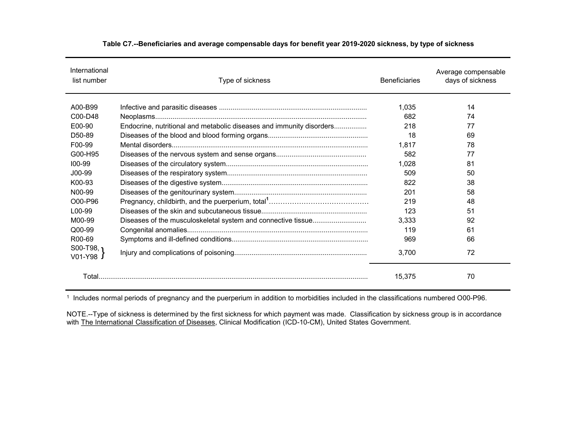| International<br>list number | Type of sickness                                                     | <b>Beneficiaries</b> | Average compensable<br>days of sickness |
|------------------------------|----------------------------------------------------------------------|----------------------|-----------------------------------------|
| A00-B99                      |                                                                      | 1,035                | 14                                      |
| C00-D48                      |                                                                      | 682                  | 74                                      |
| E00-90                       | Endocrine, nutritional and metabolic diseases and immunity disorders | 218                  | 77                                      |
| D <sub>50</sub> -89          |                                                                      | 18                   | 69                                      |
| F <sub>00</sub> -99          |                                                                      | 1.817                | 78                                      |
| G00-H95                      |                                                                      | 582                  | 77                                      |
| $100 - 99$                   |                                                                      | 1.028                | 81                                      |
| $J00-99$                     |                                                                      | 509                  | 50                                      |
| K00-93                       |                                                                      | 822                  | 38                                      |
| N00-99                       |                                                                      | 201                  | 58                                      |
| O00-P96                      |                                                                      | 219                  | 48                                      |
| L <sub>00</sub> -99          |                                                                      | 123                  | 51                                      |
| M00-99                       | Diseases of the musculoskeletal system and connective tissue         | 3.333                | 92                                      |
| Q00-99                       |                                                                      | 119                  | 61                                      |
| R <sub>00</sub> -69          |                                                                      | 969                  | 66                                      |
| $SOO-T98.$<br>$V01 - Y98$    |                                                                      | 3,700                | 72                                      |
|                              |                                                                      | 15,375               | 70                                      |

#### **Table C7.--Beneficiaries and average compensable days for benefit year 2019-2020 sickness, by type of sickness**

1 Includes normal periods of pregnancy and the puerperium in addition to morbidities included in the classifications numbered O00-P96.

NOTE.--Type of sickness is determined by the first sickness for which payment was made. Classification by sickness group is in accordance with <u>The International Classification of Diseases,</u> Clinical Modification (ICD-10-CM), United States Government.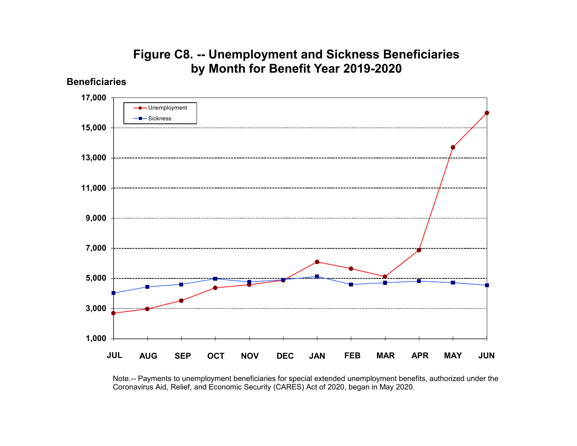## **Figure C8. -- Unemployment and Sickness Beneficiaries by Month for Benefit Year 2019-2020**

**Beneficiaries**



Note.-- Payments to unemployment beneficiaries for special extended unemployment benefits, authorized under the Coronavirus Aid, Relief, and Economic Security (CARES) Act of 2020, began in May 2020.